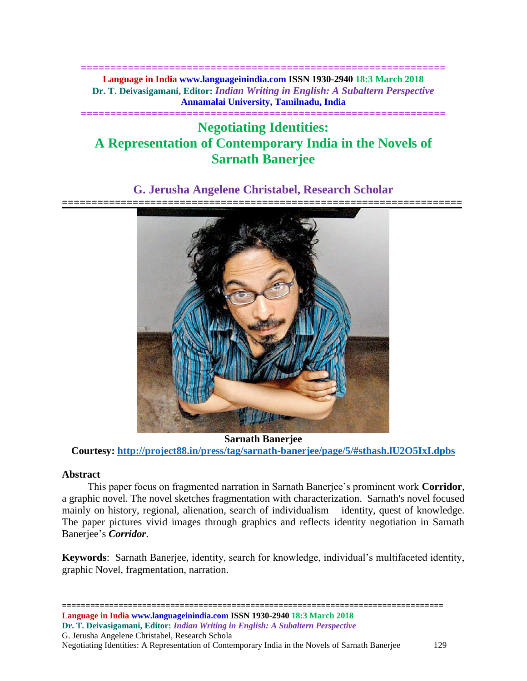**============================================================== Language in India www.languageinindia.com ISSN 1930-2940 18:3 March 2018 Dr. T. Deivasigamani, Editor:** *Indian Writing in English: A Subaltern Perspective* **Annamalai University, Tamilnadu, India**

# **============================================================== Negotiating Identities: A Representation of Contemporary India in the Novels of Sarnath Banerjee**

# **G. Jerusha Angelene Christabel, Research Scholar**



**Sarnath Banerjee Courtesy:<http://project88.in/press/tag/sarnath-banerjee/page/5/#sthash.lU2O5IxI.dpbs>**

# **Abstract**

 This paper focus on fragmented narration in Sarnath Banerjee's prominent work **Corridor**, a graphic novel. The novel sketches fragmentation with characterization. Sarnath's novel focused mainly on history, regional, alienation, search of individualism – identity, quest of knowledge. The paper pictures vivid images through graphics and reflects identity negotiation in Sarnath Banerjee's *Corridor*.

**Keywords**: Sarnath Banerjee, identity, search for knowledge, individual's multifaceted identity, graphic Novel, fragmentation, narration.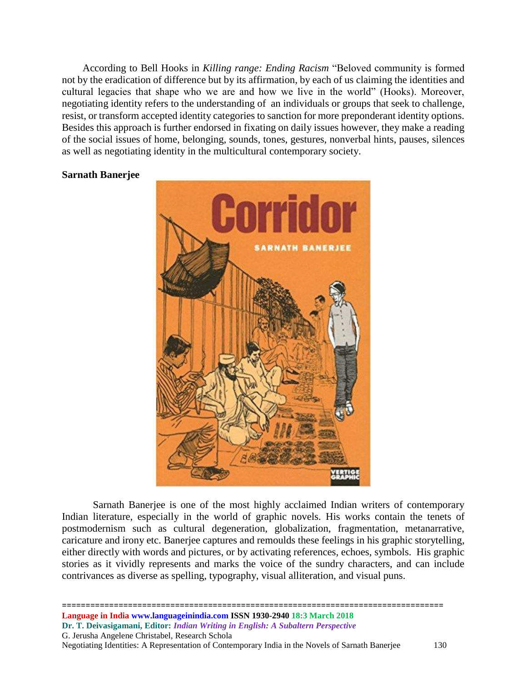According to Bell Hooks in *Killing range: Ending Racism* "Beloved community is formed not by the eradication of difference but by its affirmation, by each of us claiming the identities and cultural legacies that shape who we are and how we live in the world" (Hooks). Moreover, negotiating identity refers to the understanding of an individuals or groups that seek to challenge, resist, or transform accepted identity categories to sanction for more preponderant identity options. Besides this approach is further endorsed in fixating on daily issues however, they make a reading of the social issues of home, belonging, sounds, tones, gestures, nonverbal hints, pauses, silences as well as negotiating identity in the multicultural contemporary society.

# **Sarnath Banerjee**



Sarnath Banerjee is one of the most highly acclaimed Indian writers of contemporary Indian literature, especially in the world of graphic novels. His works contain the tenets of postmodernism such as cultural degeneration, globalization, fragmentation, metanarrative, caricature and irony etc. Banerjee captures and remoulds these feelings in his graphic storytelling, either directly with words and pictures, or by activating references, echoes, symbols. His graphic stories as it vividly represents and marks the voice of the sundry characters, and can include contrivances as diverse as spelling, typography, visual alliteration, and visual puns.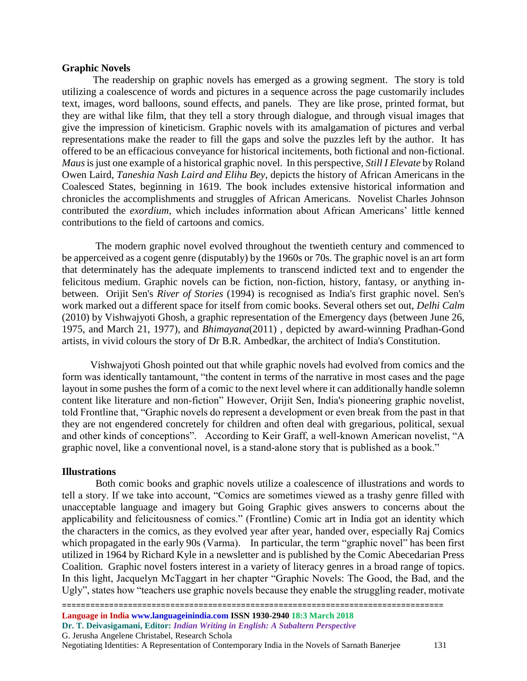#### **Graphic Novels**

The readership on graphic novels has emerged as a growing segment. The story is told utilizing a coalescence of words and pictures in a sequence across the page customarily includes text, images, word balloons, sound effects, and panels. They are like prose, printed format, but they are withal like film, that they tell a story through dialogue, and through visual images that give the impression of kineticism. Graphic novels with its amalgamation of pictures and verbal representations make the reader to fill the gaps and solve the puzzles left by the author. It has offered to be an efficacious conveyance for historical incitements, both fictional and non-fictional. *Maus*is just one example of a historical graphic novel. In this perspective, *Still I Elevate* by Roland Owen Laird, *Taneshia Nash Laird and Elihu Bey*, depicts the history of African Americans in the Coalesced States, beginning in 1619. The book includes extensive historical information and chronicles the accomplishments and struggles of African Americans. Novelist Charles Johnson contributed the *exordium*, which includes information about African Americans' little kenned contributions to the field of cartoons and comics.

 The modern graphic novel evolved throughout the twentieth century and commenced to be apperceived as a cogent genre (disputably) by the 1960s or 70s. The graphic novel is an art form that determinately has the adequate implements to transcend indicted text and to engender the felicitous medium. Graphic novels can be fiction, non-fiction, history, fantasy, or anything inbetween. Orijit Sen's *River of Stories* (1994) is recognised as India's first graphic novel. Sen's work marked out a different space for itself from comic books. Several others set out, *Delhi Calm* (2010) by Vishwajyoti Ghosh, a graphic representation of the Emergency days (between June 26, 1975, and March 21, 1977), and *Bhimayana*(2011) , depicted by award-winning Pradhan-Gond artists, in vivid colours the story of Dr B.R. Ambedkar, the architect of India's Constitution.

 Vishwajyoti Ghosh pointed out that while graphic novels had evolved from comics and the form was identically tantamount, "the content in terms of the narrative in most cases and the page layout in some pushes the form of a comic to the next level where it can additionally handle solemn content like literature and non-fiction" However, Orijit Sen, India's pioneering graphic novelist, told Frontline that, "Graphic novels do represent a development or even break from the past in that they are not engendered concretely for children and often deal with gregarious, political, sexual and other kinds of conceptions". According to Keir Graff, a well-known American novelist, "A graphic novel, like a conventional novel, is a stand-alone story that is published as a book."

#### **Illustrations**

 Both comic books and graphic novels utilize a coalescence of illustrations and words to tell a story. If we take into account, "Comics are sometimes viewed as a trashy genre filled with unacceptable language and imagery but Going Graphic gives answers to concerns about the applicability and felicitousness of comics." (Frontline) Comic art in India got an identity which the characters in the comics, as they evolved year after year, handed over, especially Raj Comics which propagated in the early 90s (Varma). In particular, the term "graphic novel" has been first utilized in 1964 by Richard Kyle in a newsletter and is published by the Comic Abecedarian Press Coalition. Graphic novel fosters interest in a variety of literacy genres in a broad range of topics. In this light, Jacquelyn McTaggart in her chapter "Graphic Novels: The Good, the Bad, and the Ugly", states how "teachers use graphic novels because they enable the struggling reader, motivate

Negotiating Identities: A Representation of Contemporary India in the Novels of Sarnath Banerjee 131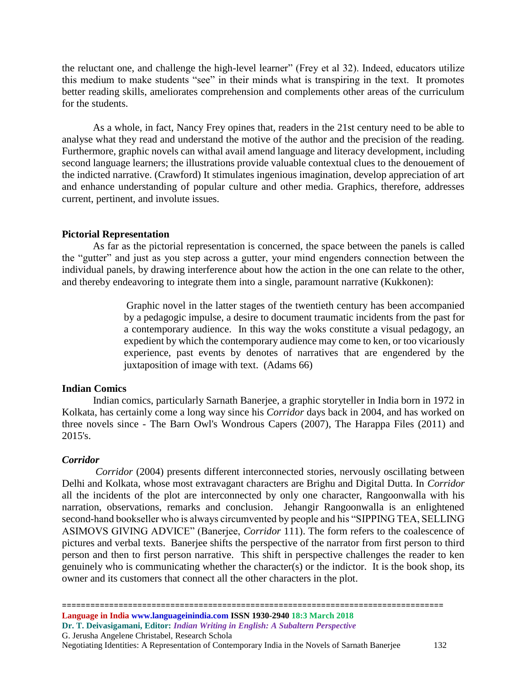the reluctant one, and challenge the high-level learner" (Frey et al 32). Indeed, educators utilize this medium to make students "see" in their minds what is transpiring in the text. It promotes better reading skills, ameliorates comprehension and complements other areas of the curriculum for the students.

As a whole, in fact, Nancy Frey opines that, readers in the 21st century need to be able to analyse what they read and understand the motive of the author and the precision of the reading. Furthermore, graphic novels can withal avail amend language and literacy development, including second language learners; the illustrations provide valuable contextual clues to the denouement of the indicted narrative. (Crawford) It stimulates ingenious imagination, develop appreciation of art and enhance understanding of popular culture and other media. Graphics, therefore, addresses current, pertinent, and involute issues.

# **Pictorial Representation**

As far as the pictorial representation is concerned, the space between the panels is called the "gutter" and just as you step across a gutter, your mind engenders connection between the individual panels, by drawing interference about how the action in the one can relate to the other, and thereby endeavoring to integrate them into a single, paramount narrative (Kukkonen):

> Graphic novel in the latter stages of the twentieth century has been accompanied by a pedagogic impulse, a desire to document traumatic incidents from the past for a contemporary audience. In this way the woks constitute a visual pedagogy, an expedient by which the contemporary audience may come to ken, or too vicariously experience, past events by denotes of narratives that are engendered by the juxtaposition of image with text. (Adams 66)

# **Indian Comics**

 Indian comics, particularly Sarnath Banerjee, a graphic storyteller in India born in 1972 in Kolkata, has certainly come a long way since his *Corridor* days back in 2004, and has worked on three novels since - The Barn Owl's Wondrous Capers (2007), The Harappa Files (2011) and 2015's.

#### *Corridor*

*Corridor* (2004) presents different interconnected stories, nervously oscillating between Delhi and Kolkata, whose most extravagant characters are Brighu and Digital Dutta. In *Corridor* all the incidents of the plot are interconnected by only one character, Rangoonwalla with his narration, observations, remarks and conclusion. Jehangir Rangoonwalla is an enlightened second-hand bookseller who is always circumvented by people and his "SIPPING TEA, SELLING ASIMOVS GIVING ADVICE" (Banerjee, *Corridor* 111). The form refers to the coalescence of pictures and verbal texts. Banerjee shifts the perspective of the narrator from first person to third person and then to first person narrative. This shift in perspective challenges the reader to ken genuinely who is communicating whether the character(s) or the indictor. It is the book shop, its owner and its customers that connect all the other characters in the plot.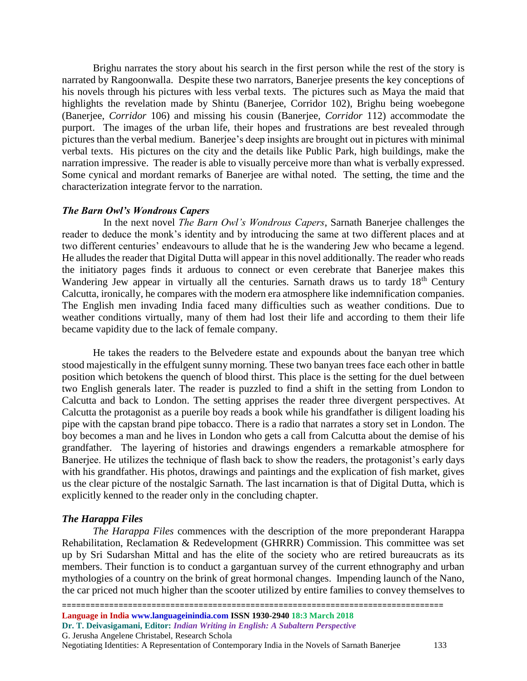Brighu narrates the story about his search in the first person while the rest of the story is narrated by Rangoonwalla. Despite these two narrators, Banerjee presents the key conceptions of his novels through his pictures with less verbal texts. The pictures such as Maya the maid that highlights the revelation made by Shintu (Banerjee, Corridor 102), Brighu being woebegone (Banerjee, *Corridor* 106) and missing his cousin (Banerjee, *Corridor* 112) accommodate the purport. The images of the urban life, their hopes and frustrations are best revealed through pictures than the verbal medium. Banerjee's deep insights are brought out in pictures with minimal verbal texts. His pictures on the city and the details like Public Park, high buildings, make the narration impressive. The reader is able to visually perceive more than what is verbally expressed. Some cynical and mordant remarks of Banerjee are withal noted. The setting, the time and the characterization integrate fervor to the narration.

#### *The Barn Owl's Wondrous Capers*

 In the next novel *The Barn Owl's Wondrous Capers*, Sarnath Banerjee challenges the reader to deduce the monk's identity and by introducing the same at two different places and at two different centuries' endeavours to allude that he is the wandering Jew who became a legend. He alludes the reader that Digital Dutta will appear in this novel additionally. The reader who reads the initiatory pages finds it arduous to connect or even cerebrate that Banerjee makes this Wandering Jew appear in virtually all the centuries. Sarnath draws us to tardy 18<sup>th</sup> Century Calcutta, ironically, he compares with the modern era atmosphere like indemnification companies. The English men invading India faced many difficulties such as weather conditions. Due to weather conditions virtually, many of them had lost their life and according to them their life became vapidity due to the lack of female company.

He takes the readers to the Belvedere estate and expounds about the banyan tree which stood majestically in the effulgent sunny morning. These two banyan trees face each other in battle position which betokens the quench of blood thirst. This place is the setting for the duel between two English generals later. The reader is puzzled to find a shift in the setting from London to Calcutta and back to London. The setting apprises the reader three divergent perspectives. At Calcutta the protagonist as a puerile boy reads a book while his grandfather is diligent loading his pipe with the capstan brand pipe tobacco. There is a radio that narrates a story set in London. The boy becomes a man and he lives in London who gets a call from Calcutta about the demise of his grandfather. The layering of histories and drawings engenders a remarkable atmosphere for Banerjee. He utilizes the technique of flash back to show the readers, the protagonist's early days with his grandfather. His photos, drawings and paintings and the explication of fish market, gives us the clear picture of the nostalgic Sarnath. The last incarnation is that of Digital Dutta, which is explicitly kenned to the reader only in the concluding chapter.

#### *The Harappa Files*

*The Harappa Files* commences with the description of the more preponderant Harappa Rehabilitation, Reclamation & Redevelopment (GHRRR) Commission. This committee was set up by Sri Sudarshan Mittal and has the elite of the society who are retired bureaucrats as its members. Their function is to conduct a gargantuan survey of the current ethnography and urban mythologies of a country on the brink of great hormonal changes. Impending launch of the Nano, the car priced not much higher than the scooter utilized by entire families to convey themselves to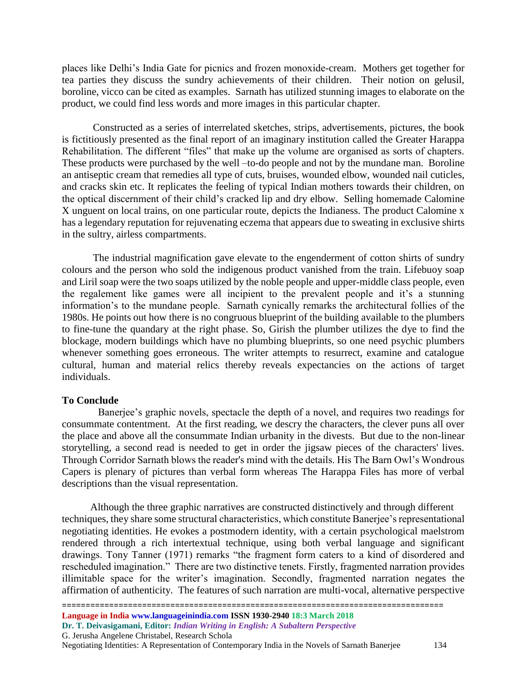places like Delhi's India Gate for picnics and frozen monoxide-cream. Mothers get together for tea parties they discuss the sundry achievements of their children. Their notion on gelusil, boroline, vicco can be cited as examples. Sarnath has utilized stunning images to elaborate on the product, we could find less words and more images in this particular chapter.

Constructed as a series of interrelated sketches, strips, advertisements, pictures, the book is fictitiously presented as the final report of an imaginary institution called the Greater Harappa Rehabilitation. The different "files" that make up the volume are organised as sorts of chapters. These products were purchased by the well –to-do people and not by the mundane man. Boroline an antiseptic cream that remedies all type of cuts, bruises, wounded elbow, wounded nail cuticles, and cracks skin etc. It replicates the feeling of typical Indian mothers towards their children, on the optical discernment of their child's cracked lip and dry elbow. Selling homemade Calomine X unguent on local trains, on one particular route, depicts the Indianess. The product Calomine x has a legendary reputation for rejuvenating eczema that appears due to sweating in exclusive shirts in the sultry, airless compartments.

The industrial magnification gave elevate to the engenderment of cotton shirts of sundry colours and the person who sold the indigenous product vanished from the train. Lifebuoy soap and Liril soap were the two soaps utilized by the noble people and upper-middle class people, even the regalement like games were all incipient to the prevalent people and it's a stunning information's to the mundane people. Sarnath cynically remarks the architectural follies of the 1980s. He points out how there is no congruous blueprint of the building available to the plumbers to fine-tune the quandary at the right phase. So, Girish the plumber utilizes the dye to find the blockage, modern buildings which have no plumbing blueprints, so one need psychic plumbers whenever something goes erroneous. The writer attempts to resurrect, examine and catalogue cultural, human and material relics thereby reveals expectancies on the actions of target individuals.

#### **To Conclude**

 Banerjee's graphic novels, spectacle the depth of a novel, and requires two readings for consummate contentment. At the first reading, we descry the characters, the clever puns all over the place and above all the consummate Indian urbanity in the divests. But due to the non-linear storytelling, a second read is needed to get in order the jigsaw pieces of the characters' lives. Through Corridor Sarnath blows the reader's mind with the details. His The Barn Owl's Wondrous Capers is plenary of pictures than verbal form whereas The Harappa Files has more of verbal descriptions than the visual representation.

 Although the three graphic narratives are constructed distinctively and through different techniques, they share some structural characteristics, which constitute Banerjee's representational negotiating identities. He evokes a postmodern identity, with a certain psychological maelstrom rendered through a rich intertextual technique, using both verbal language and significant drawings. Tony Tanner (1971) remarks "the fragment form caters to a kind of disordered and rescheduled imagination." There are two distinctive tenets. Firstly, fragmented narration provides illimitable space for the writer's imagination. Secondly, fragmented narration negates the affirmation of authenticity. The features of such narration are multi-vocal, alternative perspective

Negotiating Identities: A Representation of Contemporary India in the Novels of Sarnath Banerjee 134